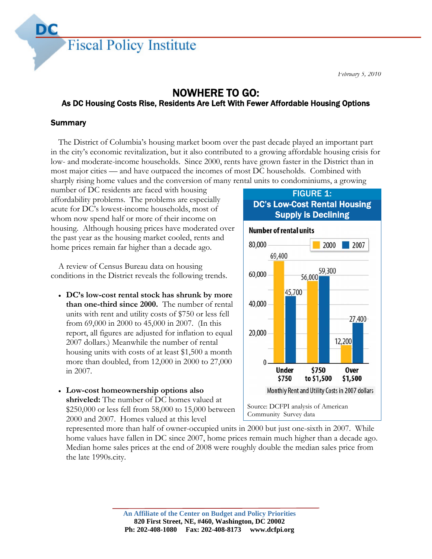

# NOWHERE TO GO:

# As DC Housing Costs Rise, Residents Are Left With Fewer Affordable Housing Options

# Summary

Title in the

The District of Columbia's housing market boom over the past decade played an important part in the city's economic revitalization, but it also contributed to a growing affordable housing crisis for low- and moderate-income households. Since 2000, rents have grown faster in the District than in most major cities — and have outpaced the incomes of most DC households. Combined with sharply rising home values and the conversion of many rental units to condominiums, a growing

number of DC residents are faced with housing affordability problems. The problems are especially acute for DC's lowest-income households, most of whom now spend half or more of their income on housing. Although housing prices have moderated over the past year as the housing market cooled, rents and home prices remain far higher than a decade ago.

A review of Census Bureau data on housing conditions in the District reveals the following trends.

- **DC's low-cost rental stock has shrunk by more than one-third since 2000.** The number of rental units with rent and utility costs of \$750 or less fell from 69,000 in 2000 to 45,000 in 2007. (In this report, all figures are adjusted for inflation to equal 2007 dollars.) Meanwhile the number of rental housing units with costs of at least \$1,500 a month more than doubled, from 12,000 in 2000 to 27,000 in 2007.
- **Low-cost homeownership options also shriveled:** The number of DC homes valued at \$250,000 or less fell from 58,000 to 15,000 between 2000 and 2007. Homes valued at this level

## **FIGURE 1:** DC's Low-Cost Rental Housing Supply is Declining



represented more than half of owner-occupied units in 2000 but just one-sixth in 2007. While home values have fallen in DC since 2007, home prices remain much higher than a decade ago. Median home sales prices at the end of 2008 were roughly double the median sales price from the late 1990s.city.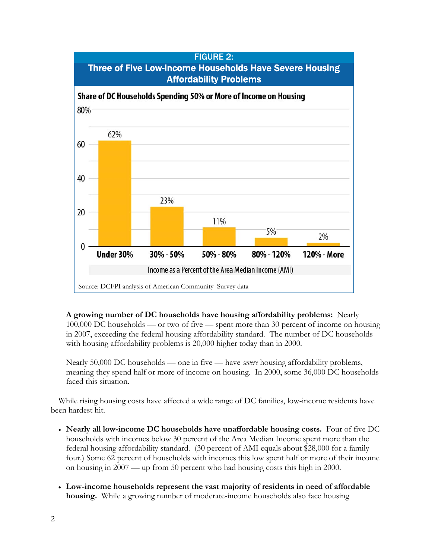

**A growing number of DC households have housing affordability problems:** Nearly 100,000 DC households — or two of five — spent more than 30 percent of income on housing in 2007, exceeding the federal housing affordability standard. The number of DC households with housing affordability problems is 20,000 higher today than in 2000.

Nearly 50,000 DC households — one in five — have *severe* housing affordability problems, meaning they spend half or more of income on housing. In 2000, some 36,000 DC households faced this situation.

While rising housing costs have affected a wide range of DC families, low-income residents have been hardest hit.

- **Nearly all low-income DC households have unaffordable housing costs.** Four of five DC households with incomes below 30 percent of the Area Median Income spent more than the federal housing affordability standard. (30 percent of AMI equals about \$28,000 for a family four.) Some 62 percent of households with incomes this low spent half or more of their income on housing in 2007 — up from 50 percent who had housing costs this high in 2000.
- **Low-income households represent the vast majority of residents in need of affordable housing.** While a growing number of moderate-income households also face housing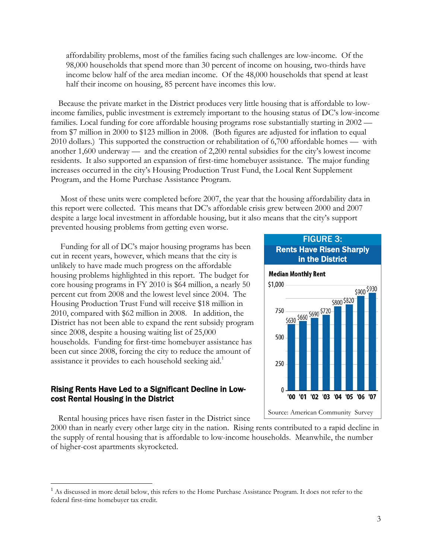affordability problems, most of the families facing such challenges are low-income. Of the 98,000 households that spend more than 30 percent of income on housing, two-thirds have income below half of the area median income. Of the 48,000 households that spend at least half their income on housing, 85 percent have incomes this low.

Because the private market in the District produces very little housing that is affordable to lowincome families, public investment is extremely important to the housing status of DC's low-income families. Local funding for core affordable housing programs rose substantially starting in 2002 from \$7 million in 2000 to \$123 million in 2008. (Both figures are adjusted for inflation to equal 2010 dollars.) This supported the construction or rehabilitation of 6,700 affordable homes — with another 1,600 underway — and the creation of 2,200 rental subsidies for the city's lowest income residents. It also supported an expansion of first-time homebuyer assistance. The major funding increases occurred in the city's Housing Production Trust Fund, the Local Rent Supplement Program, and the Home Purchase Assistance Program.

 Most of these units were completed before 2007, the year that the housing affordability data in this report were collected. This means that DC's affordable crisis grew between 2000 and 2007 despite a large local investment in affordable housing, but it also means that the city's support prevented housing problems from getting even worse.

 Funding for all of DC's major housing programs has been cut in recent years, however, which means that the city is unlikely to have made much progress on the affordable housing problems highlighted in this report. The budget for core housing programs in FY 2010 is \$64 million, a nearly 50 percent cut from 2008 and the lowest level since 2004. The Housing Production Trust Fund will receive \$18 million in 2010, compared with \$62 million in 2008. In addition, the District has not been able to expand the rent subsidy program since 2008, despite a housing waiting list of 25,000 households. Funding for first-time homebuyer assistance has been cut since 2008, forcing the city to reduce the amount of assistance it provides to each household seeking aid.<sup>1</sup>

## Rising Rents Have Led to a Significant Decline in Lowcost Rental Housing in the District

Rental housing prices have risen faster in the District since

 $\overline{a}$ 

2000 than in nearly every other large city in the nation. Rising rents contributed to a rapid decline in the supply of rental housing that is affordable to low-income households. Meanwhile, the number of higher-cost apartments skyrocketed.



<sup>&</sup>lt;sup>1</sup> As discussed in more detail below, this refers to the Home Purchase Assistance Program. It does not refer to the federal first-time homebuyer tax credit.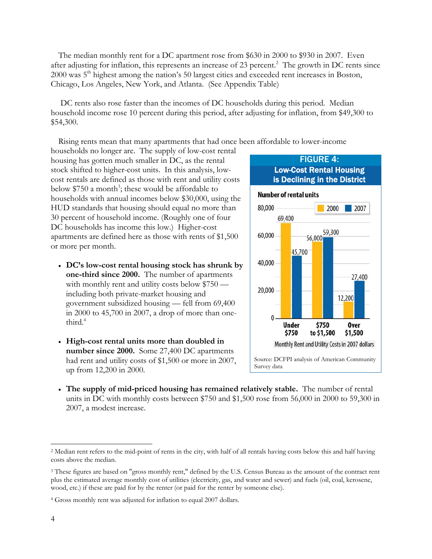The median monthly rent for a DC apartment rose from \$630 in 2000 to \$930 in 2007. Even after adjusting for inflation, this represents an increase of 23 percent.<sup>2</sup> The growth in DC rents since 2000 was 5<sup>th</sup> highest among the nation's 50 largest cities and exceeded rent increases in Boston, Chicago, Los Angeles, New York, and Atlanta. (See Appendix Table)

 DC rents also rose faster than the incomes of DC households during this period. Median household income rose 10 percent during this period, after adjusting for inflation, from \$49,300 to \$54,300.

Rising rents mean that many apartments that had once been affordable to lower-income

households no longer are. The supply of low-cost rental housing has gotten much smaller in DC, as the rental stock shifted to higher-cost units. In this analysis, lowcost rentals are defined as those with rent and utility costs below  $$750$  a month<sup>3</sup>; these would be affordable to households with annual incomes below \$30,000, using the HUD standards that housing should equal no more than 30 percent of household income. (Roughly one of four DC households has income this low.) Higher-cost apartments are defined here as those with rents of \$1,500 or more per month.

- **DC's low-cost rental housing stock has shrunk by one-third since 2000.** The number of apartments with monthly rent and utility costs below \$750 including both private-market housing and government subsidized housing — fell from 69,400 in 2000 to 45,700 in 2007, a drop of more than onethird.<sup>4</sup>
- **High-cost rental units more than doubled in number since 2000.** Some 27,400 DC apartments had rent and utility costs of \$1,500 or more in 2007, up from 12,200 in 2000.



 **The supply of mid-priced housing has remained relatively stable.** The number of rental units in DC with monthly costs between \$750 and \$1,500 rose from 56,000 in 2000 to 59,300 in 2007, a modest increase.

 $\overline{a}$ 

<sup>&</sup>lt;sup>2</sup> Median rent refers to the mid-point of rents in the city, with half of all rentals having costs below this and half having costs above the median.

<sup>&</sup>lt;sup>3</sup> These figures are based on "gross monthly rent," defined by the U.S. Census Bureau as the amount of the contract rent plus the estimated average monthly cost of utilities (electricity, gas, and water and sewer) and fuels (oil, coal, kerosene, wood, etc.) if these are paid for by the renter (or paid for the renter by someone else).

<sup>4</sup> Gross monthly rent was adjusted for inflation to equal 2007 dollars.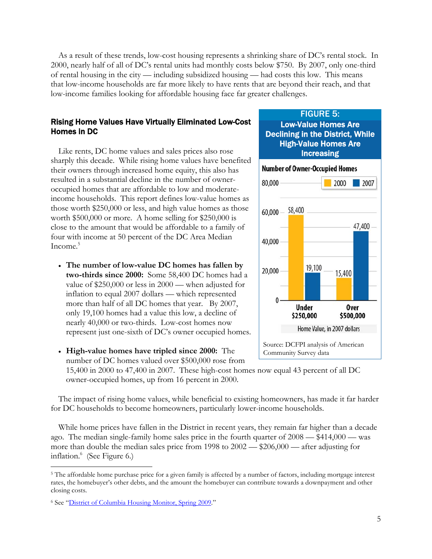As a result of these trends, low-cost housing represents a shrinking share of DC's rental stock. In 2000, nearly half of all of DC's rental units had monthly costs below \$750. By 2007, only one-third of rental housing in the city — including subsidized housing — had costs this low. This means that low-income households are far more likely to have rents that are beyond their reach, and that low-income families looking for affordable housing face far greater challenges.

#### Rising Home Values Have Virtually Eliminated Low-Cost Homes in DC

Like rents, DC home values and sales prices also rose sharply this decade. While rising home values have benefited their owners through increased home equity, this also has resulted in a substantial decline in the number of owneroccupied homes that are affordable to low and moderateincome households. This report defines low-value homes as those worth \$250,000 or less, and high value homes as those worth \$500,000 or more. A home selling for \$250,000 is close to the amount that would be affordable to a family of four with income at 50 percent of the DC Area Median Income.<sup>5</sup>

 **The number of low-value DC homes has fallen by two-thirds since 2000:** Some 58,400 DC homes had a value of \$250,000 or less in 2000 — when adjusted for inflation to equal 2007 dollars — which represented more than half of all DC homes that year. By 2007, only 19,100 homes had a value this low, a decline of nearly 40,000 or two-thirds. Low-cost homes now represent just one-sixth of DC's owner occupied homes.



FIGURE 5:

 **High-value homes have tripled since 2000:** The number of DC homes valued over \$500,000 rose from 15,400 in 2000 to 47,400 in 2007. These high-cost homes now equal 43 percent of all DC owner-occupied homes, up from 16 percent in 2000.

The impact of rising home values, while beneficial to existing homeowners, has made it far harder for DC households to become homeowners, particularly lower-income households.

While home prices have fallen in the District in recent years, they remain far higher than a decade ago. The median single-family home sales price in the fourth quarter of 2008 — \$414,000 — was more than double the median sales price from 1998 to 2002 — \$206,000 — after adjusting for inflation.<sup>6</sup> (See Figure 6.)

1

<sup>&</sup>lt;sup>5</sup> The affordable home purchase price for a given family is affected by a number of factors, including mortgage interest rates, the homebuyer's other debts, and the amount the homebuyer can contribute towards a downpayment and other closing costs.

<sup>6</sup> See "District of Columbia Housing Monitor, Spring 2009."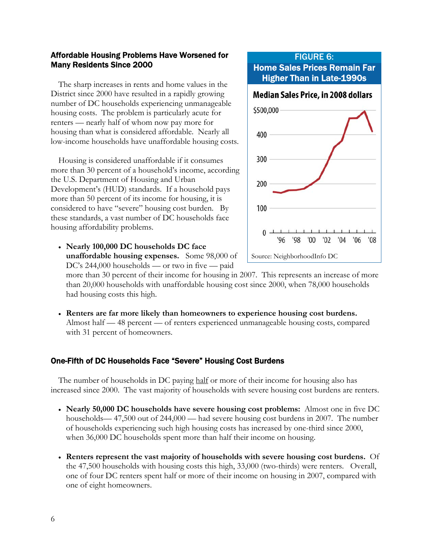## Affordable Housing Problems Have Worsened for Many Residents Since 2000

The sharp increases in rents and home values in the District since 2000 have resulted in a rapidly growing number of DC households experiencing unmanageable housing costs. The problem is particularly acute for renters — nearly half of whom now pay more for housing than what is considered affordable. Nearly all low-income households have unaffordable housing costs.

Housing is considered unaffordable if it consumes more than 30 percent of a household's income, according the U.S. Department of Housing and Urban Development's (HUD) standards. If a household pays more than 50 percent of its income for housing, it is considered to have "severe" housing cost burden. By these standards, a vast number of DC households face housing affordability problems.

 **Nearly 100,000 DC households DC face unaffordable housing expenses.** Some 98,000 of DC's 244,000 households — or two in five — paid

more than 30 percent of their income for housing in 2007. This represents an increase of more than 20,000 households with unaffordable housing cost since 2000, when 78,000 households had housing costs this high.

 **Renters are far more likely than homeowners to experience housing cost burdens.**  Almost half — 48 percent — of renters experienced unmanageable housing costs, compared with 31 percent of homeowners.

## One-Fifth of DC Households Face "Severe" Housing Cost Burdens

The number of households in DC paying half or more of their income for housing also has increased since 2000. The vast majority of households with severe housing cost burdens are renters.

- **Nearly 50,000 DC households have severe housing cost problems:** Almost one in five DC households— 47,500 out of 244,000 — had severe housing cost burdens in 2007. The number of households experiencing such high housing costs has increased by one-third since 2000, when 36,000 DC households spent more than half their income on housing.
- **Renters represent the vast majority of households with severe housing cost burdens.** Of the 47,500 households with housing costs this high, 33,000 (two-thirds) were renters. Overall, one of four DC renters spent half or more of their income on housing in 2007, compared with one of eight homeowners.

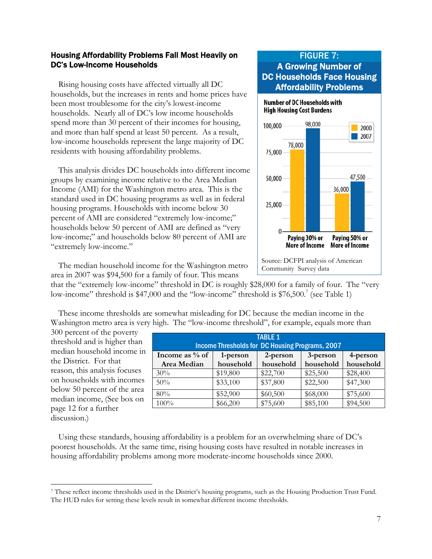## Housing Affordability Problems Fall Most Heavily on DC's Low-Income Households

Rising housing costs have affected virtually all DC households, but the increases in rents and home prices have been most troublesome for the city's lowest-income households. Nearly all of DC's low income households spend more than 30 percent of their incomes for housing, and more than half spend at least 50 percent. As a result, low-income households represent the large majority of DC residents with housing affordability problems.

This analysis divides DC households into different income groups by examining income relative to the Area Median Income (AMI) for the Washington metro area. This is the standard used in DC housing programs as well as in federal housing programs. Households with income below 30 percent of AMI are considered "extremely low-income;" households below 50 percent of AMI are defined as "very low-income;" and households below 80 percent of AMI are "extremely low-income."

# FIGURE 7: A Growing Number of DC Households Face Housing Affordability Problems



The median household income for the Washington metro area in 2007 was \$94,500 for a family of four. This means

that the "extremely low-income" threshold in DC is roughly \$28,000 for a family of four. The "very low-income" threshold is \$47,000 and the "low-income" threshold is \$76,500.<sup>7</sup> (see Table 1)

These income thresholds are somewhat misleading for DC because the median income in the Washington metro area is very high. The "low-income threshold", for example, equals more than

300 percent of the poverty threshold and is higher than median household income in the District. For that reason, this analysis focuses on households with incomes below 50 percent of the area median income, (See box on page 12 for a further discussion.)

 $\overline{a}$ 

| <b>TABLE 1</b><br>Income Thresholds for DC Housing Programs, 2007 |           |           |           |           |  |  |  |  |
|-------------------------------------------------------------------|-----------|-----------|-----------|-----------|--|--|--|--|
| Income as % of                                                    | 1-person  | 2-person  | 3-person  | 4-person  |  |  |  |  |
| Area Median                                                       | household | household | household | household |  |  |  |  |
| 30%                                                               | \$19,800  | \$22,700  | \$25,500  | \$28,400  |  |  |  |  |
| 50%                                                               | \$33,100  | \$37,800  | \$22,500  | \$47,300  |  |  |  |  |
| 80%                                                               | \$52,900  | \$60,500  | \$68,000  | \$75,600  |  |  |  |  |
| 100%                                                              | \$66,200  | \$75,600  | \$85,100  | \$94,500  |  |  |  |  |

Using these standards, housing affordability is a problem for an overwhelming share of DC's poorest households. At the same time, rising housing costs have resulted in notable increases in housing affordability problems among more moderate-income households since 2000.

<sup>7</sup> These reflect income thresholds used in the District's housing programs, such as the Housing Production Trust Fund. The HUD rules for setting these levels result in somewhat different income thresholds.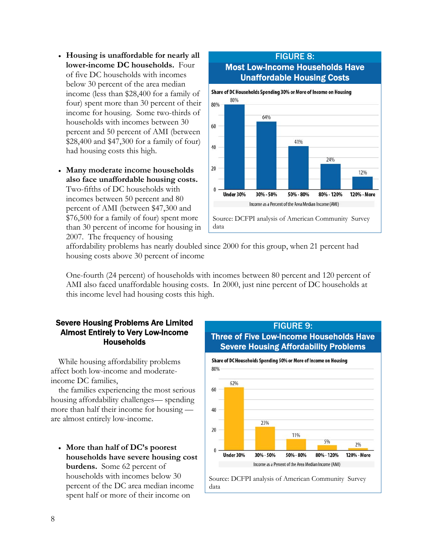- **Housing is unaffordable for nearly all lower-income DC households.** Four of five DC households with incomes below 30 percent of the area median income (less than \$28,400 for a family of four) spent more than 30 percent of their income for housing. Some two-thirds of households with incomes between 30 percent and 50 percent of AMI (between \$28,400 and \$47,300 for a family of four) had housing costs this high.
- **Many moderate income households also face unaffordable housing costs.**  Two-fifths of DC households with incomes between 50 percent and 80 percent of AMI (between \$47,300 and \$76,500 for a family of four) spent more than 30 percent of income for housing in 2007. The frequency of housing



affordability problems has nearly doubled since 2000 for this group, when 21 percent had housing costs above 30 percent of income

One-fourth (24 percent) of households with incomes between 80 percent and 120 percent of AMI also faced unaffordable housing costs. In 2000, just nine percent of DC households at this income level had housing costs this high.

#### Severe Housing Problems Are Limited Almost Entirely to Very Low-Income Households

While housing affordability problems affect both low-income and moderateincome DC families,

the families experiencing the most serious housing affordability challenges— spending more than half their income for housing are almost entirely low-income.

 **More than half of DC's poorest households have severe housing cost burdens.** Some 62 percent of households with incomes below 30 percent of the DC area median income spent half or more of their income on

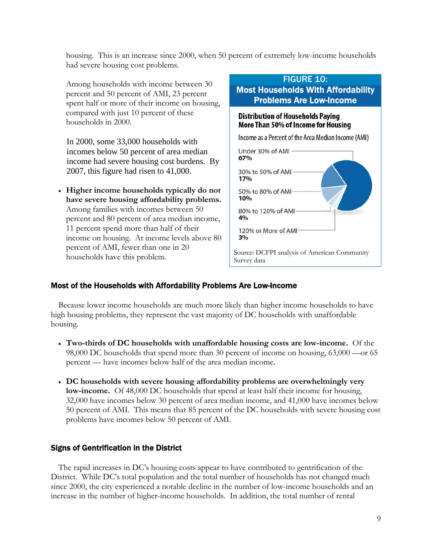housing. This is an increase since 2000, when 50 percent of extremely low-income households had severe housing cost problems.

10%

80% to 120% of AMI

Among households with income between 30 percent and 50 percent of AMI, 23 percent spent half or more of their income on housing, compared with just 10 percent of these households in 2000.

In 2000, some 33,000 households with incomes below 50 percent of area median income had severe housing cost burdens. By 2007, this figure had risen to 41,000.

 **Higher income households typically do not have severe housing affordability problems.**  Among families with incomes between 50 percent and 80 percent of area median income, 11 percent spend more than half of their income on housing. At income levels above 80 percent of AMI, fewer than one in 20 households have this problem.

# FIGURE 10: Most Households With Affordability Problems Are Low-Income **Distribution of Households Paving** More Than 50% of Income for Housing Income as a Percent of the Area Median Income (AMI) Under 30% of AMI 67% 30% to 50% of AMI 17% 50% to 80% of AMI

4% 120% or More of AMI  $3%$ 

Source: DCFPI analysis of American Community Survey data

#### Most of the Households with Affordability Problems Are Low-Income

Because lower income households are much more likely than higher income households to have high housing problems, they represent the vast majority of DC households with unaffordable housing.

- **Two-thirds of DC households with unaffordable housing costs are low-income.** Of the 98,000 DC households that spend more than 30 percent of income on housing, 63,000 —or 65 percent — have incomes below half of the area median income.
- **DC households with severe housing affordability problems are overwhelmingly very low-income.** Of 48,000 DC households that spend at least half their income for housing, 32,000 have incomes below 30 percent of area median income, and 41,000 have incomes below 50 percent of AMI. This means that 85 percent of the DC households with severe housing cost problems have incomes below 50 percent of AMI.

#### Signs of Gentrification in the District

The rapid increases in DC's housing costs appear to have contributed to gentrification of the District. While DC's total population and the total number of households has not changed much since 2000, the city experienced a notable decline in the number of low-income households and an increase in the number of higher-income households. In addition, the total number of rental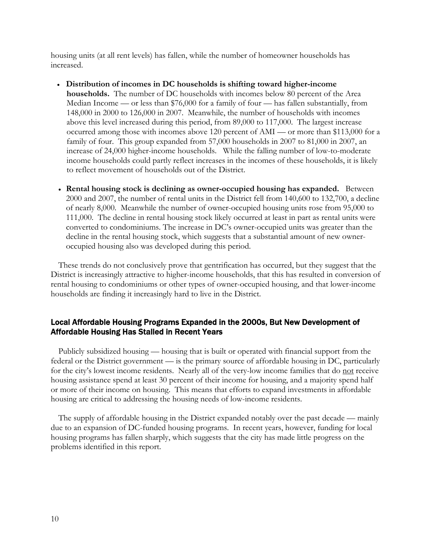housing units (at all rent levels) has fallen, while the number of homeowner households has increased.

- **Distribution of incomes in DC households is shifting toward higher-income households.** The number of DC households with incomes below 80 percent of the Area Median Income — or less than \$76,000 for a family of four — has fallen substantially, from 148,000 in 2000 to 126,000 in 2007. Meanwhile, the number of households with incomes above this level increased during this period, from 89,000 to 117,000. The largest increase occurred among those with incomes above 120 percent of AMI — or more than \$113,000 for a family of four. This group expanded from 57,000 households in 2007 to 81,000 in 2007, an increase of 24,000 higher-income households. While the falling number of low-to-moderate income households could partly reflect increases in the incomes of these households, it is likely to reflect movement of households out of the District.
- **Rental housing stock is declining as owner-occupied housing has expanded.** Between 2000 and 2007, the number of rental units in the District fell from 140,600 to 132,700, a decline of nearly 8,000. Meanwhile the number of owner-occupied housing units rose from 95,000 to 111,000. The decline in rental housing stock likely occurred at least in part as rental units were converted to condominiums. The increase in DC's owner-occupied units was greater than the decline in the rental housing stock, which suggests that a substantial amount of new owneroccupied housing also was developed during this period.

These trends do not conclusively prove that gentrification has occurred, but they suggest that the District is increasingly attractive to higher-income households, that this has resulted in conversion of rental housing to condominiums or other types of owner-occupied housing, and that lower-income households are finding it increasingly hard to live in the District.

## Local Affordable Housing Programs Expanded in the 2000s, But New Development of Affordable Housing Has Stalled in Recent Years

Publicly subsidized housing — housing that is built or operated with financial support from the federal or the District government — is the primary source of affordable housing in DC, particularly for the city's lowest income residents. Nearly all of the very-low income families that do not receive housing assistance spend at least 30 percent of their income for housing, and a majority spend half or more of their income on housing. This means that efforts to expand investments in affordable housing are critical to addressing the housing needs of low-income residents.

The supply of affordable housing in the District expanded notably over the past decade — mainly due to an expansion of DC-funded housing programs. In recent years, however, funding for local housing programs has fallen sharply, which suggests that the city has made little progress on the problems identified in this report.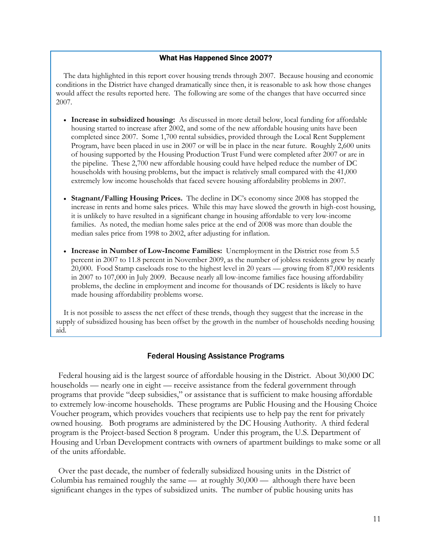#### What Has Happened Since 2007?

The data highlighted in this report cover housing trends through 2007. Because housing and economic conditions in the District have changed dramatically since then, it is reasonable to ask how those changes would affect the results reported here. The following are some of the changes that have occurred since 2007.

- **Increase in subsidized housing:** As discussed in more detail below, local funding for affordable housing started to increase after 2002, and some of the new affordable housing units have been completed since 2007. Some 1,700 rental subsidies, provided through the Local Rent Supplement Program, have been placed in use in 2007 or will be in place in the near future. Roughly 2,600 units of housing supported by the Housing Production Trust Fund were completed after 2007 or are in the pipeline. These 2,700 new affordable housing could have helped reduce the number of DC households with housing problems, but the impact is relatively small compared with the 41,000 extremely low income households that faced severe housing affordability problems in 2007.
- **Stagnant/Falling Housing Prices.** The decline in DC's economy since 2008 has stopped the increase in rents and home sales prices. While this may have slowed the growth in high-cost housing, it is unlikely to have resulted in a significant change in housing affordable to very low-income families. As noted, the median home sales price at the end of 2008 was more than double the median sales price from 1998 to 2002, after adjusting for inflation.
- **Increase in Number of Low-Income Families:** Unemployment in the District rose from 5.5 percent in 2007 to 11.8 percent in November 2009, as the number of jobless residents grew by nearly 20,000. Food Stamp caseloads rose to the highest level in 20 years — growing from 87,000 residents in 2007 to 107,000 in July 2009. Because nearly all low-income families face housing affordability problems, the decline in employment and income for thousands of DC residents is likely to have made housing affordability problems worse.

It is not possible to assess the net effect of these trends, though they suggest that the increase in the supply of subsidized housing has been offset by the growth in the number of households needing housing aid.

#### Federal Housing Assistance Programs

Federal housing aid is the largest source of affordable housing in the District. About 30,000 DC households — nearly one in eight — receive assistance from the federal government through programs that provide "deep subsidies," or assistance that is sufficient to make housing affordable to extremely low-income households. These programs are Public Housing and the Housing Choice Voucher program, which provides vouchers that recipients use to help pay the rent for privately owned housing. Both programs are administered by the DC Housing Authority. A third federal program is the Project-based Section 8 program. Under this program, the U.S. Department of Housing and Urban Development contracts with owners of apartment buildings to make some or all of the units affordable.

Over the past decade, the number of federally subsidized housing units in the District of Columbia has remained roughly the same — at roughly 30,000 — although there have been significant changes in the types of subsidized units. The number of public housing units has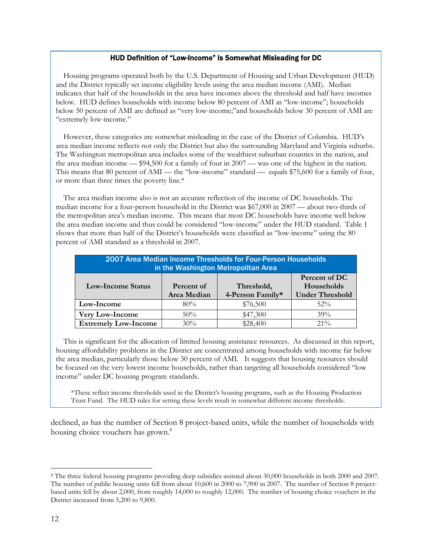#### HUD Definition of "Low-Income" Is Somewhat Misleading for DC

Housing programs operated both by the U.S. Department of Housing and Urban Development (HUD) and the District typically set income eligibility levels using the area median income (AMI). Median indicates that half of the households in the area have incomes above the threshold and half have incomes below. HUD defines households with income below 80 percent of AMI as "low-income"; households below 50 percent of AMI are defined as "very low-income;"and households below 30 percent of AMI are "extremely low-income."

However, these categories are somewhat misleading in the case of the District of Columbia. HUD's area median income reflects not only the District but also the surrounding Maryland and Virginia suburbs. The Washington metropolitan area includes some of the wealthiest suburban counties in the nation, and the area median income — \$94,500 for a family of four in 2007 — was one of the highest in the nation. This means that 80 percent of AMI — the "low-income" standard — equals \$75,600 for a family of four, or more than three times the poverty line.\*

The area median income also is not an accurate reflection of the income of DC households. The median income for a four-person household in the District was \$67,000 in 2007 — about two-thirds of the metropolitan area's median income. This means that most DC households have income well below the area median income and thus could be considered "low-income" under the HUD standard. Table 1 shows that more than half of the District's households were classified as "low-income" using the 80 percent of AMI standard as a threshold in 2007.

| 2007 Area Median Income Thresholds for Four-Person Households<br>in the Washington Metropolitan Area |                           |                                |                                                       |  |  |  |  |
|------------------------------------------------------------------------------------------------------|---------------------------|--------------------------------|-------------------------------------------------------|--|--|--|--|
| <b>Low-Income Status</b>                                                                             | Percent of<br>Area Median | Threshold,<br>4-Person Family* | Percent of DC<br>Households<br><b>Under Threshold</b> |  |  |  |  |
| Low-Income                                                                                           | 80%                       | \$76,500                       | $52\%$                                                |  |  |  |  |
| <b>Very Low-Income</b>                                                                               | 50%                       | \$47,300                       | 39%                                                   |  |  |  |  |
| <b>Extremely Low-Income</b>                                                                          | 30%                       | \$28,400                       | $21\%$                                                |  |  |  |  |

This is significant for the allocation of limited housing assistance resources. As discussed in this report, housing affordability problems in the District are concentrated among households with income far below the area median, particularly those below 30 percent of AMI. It suggests that housing resources should be focused on the very lowest income households, rather than targeting all households considered "low income" under DC housing program standards.

\*These reflect income thresholds used in the District's housing programs, such as the Housing Production Trust Fund. The HUD rules for setting these levels result in somewhat different income thresholds.

declined, as has the number of Section 8 project-based units, while the number of households with housing choice vouchers has grown.<sup>8</sup>

1

<sup>8</sup> The three federal housing programs providing deep subsidies assisted about 30,000 households in both 2000 and 2007. The number of public housing units fell from about 10,600 in 2000 to 7,900 in 2007. The number of Section 8 projectbased units fell by about 2,000, from roughly 14,000 to roughly 12,000. The number of housing choice vouchers in the District increased from 5,200 to 9,800.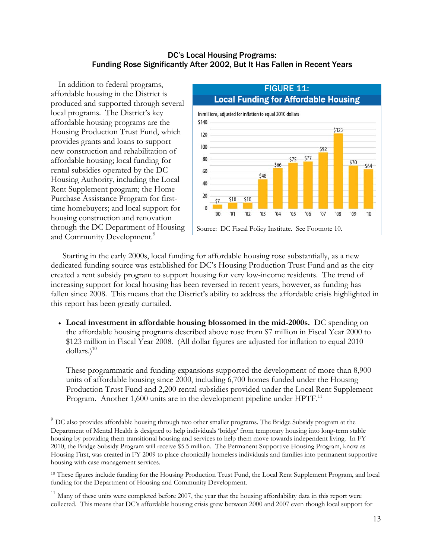#### DC's Local Housing Programs: Funding Rose Significantly After 2002, But It Has Fallen in Recent Years

In addition to federal programs, affordable housing in the District is produced and supported through several local programs. The District's key affordable housing programs are the Housing Production Trust Fund, which provides grants and loans to support new construction and rehabilitation of affordable housing; local funding for rental subsidies operated by the DC Housing Authority, including the Local Rent Supplement program; the Home Purchase Assistance Program for firsttime homebuyers; and local support for housing construction and renovation through the DC Department of Housing and Community Development.<sup>9</sup>

1



 Starting in the early 2000s, local funding for affordable housing rose substantially, as a new dedicated funding source was established for DC's Housing Production Trust Fund and as the city created a rent subsidy program to support housing for very low-income residents. The trend of increasing support for local housing has been reversed in recent years, however, as funding has fallen since 2008. This means that the District's ability to address the affordable crisis highlighted in this report has been greatly curtailed.

 **Local investment in affordable housing blossomed in the mid-2000s.** DC spending on the affordable housing programs described above rose from \$7 million in Fiscal Year 2000 to \$123 million in Fiscal Year 2008. (All dollar figures are adjusted for inflation to equal 2010 dollars.) $10$ 

These programmatic and funding expansions supported the development of more than 8,900 units of affordable housing since 2000, including 6,700 homes funded under the Housing Production Trust Fund and 2,200 rental subsidies provided under the Local Rent Supplement Program. Another 1,600 units are in the development pipeline under HPTF.<sup>11</sup>

 $9$  DC also provides affordable housing through two other smaller programs. The Bridge Subsidy program at the Department of Mental Health is designed to help individuals 'bridge' from temporary housing into long-term stable housing by providing them transitional housing and services to help them move towards independent living. In FY 2010, the Bridge Subsidy Program will receive \$5.5 million. The Permanent Supportive Housing Program, know as Housing First, was created in FY 2009 to place chronically homeless individuals and families into permanent supportive housing with case management services.

<sup>&</sup>lt;sup>10</sup> These figures include funding for the Housing Production Trust Fund, the Local Rent Supplement Program, and local funding for the Department of Housing and Community Development.

 $11$  Many of these units were completed before 2007, the year that the housing affordability data in this report were collected. This means that DC's affordable housing crisis grew between 2000 and 2007 even though local support for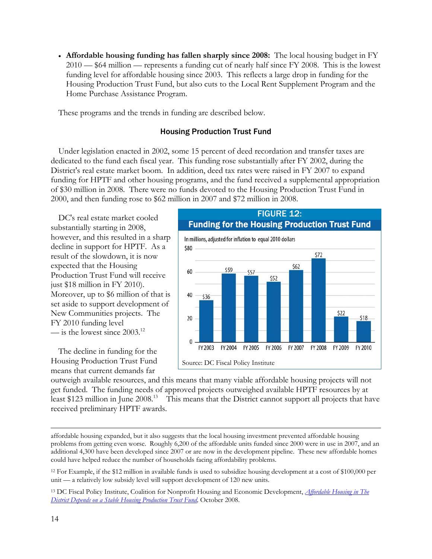**Affordable housing funding has fallen sharply since 2008:** The local housing budget in FY 2010 — \$64 million — represents a funding cut of nearly half since FY 2008. This is the lowest funding level for affordable housing since 2003. This reflects a large drop in funding for the Housing Production Trust Fund, but also cuts to the Local Rent Supplement Program and the Home Purchase Assistance Program.

These programs and the trends in funding are described below.

#### Housing Production Trust Fund

Under legislation enacted in 2002, some 15 percent of deed recordation and transfer taxes are dedicated to the fund each fiscal year. This funding rose substantially after FY 2002, during the District's real estate market boom. In addition, deed tax rates were raised in FY 2007 to expand funding for HPTF and other housing programs, and the fund received a supplemental appropriation of \$30 million in 2008. There were no funds devoted to the Housing Production Trust Fund in 2000, and then funding rose to \$62 million in 2007 and \$72 million in 2008.

DC's real estate market cooled substantially starting in 2008, however, and this resulted in a sharp decline in support for HPTF. As a result of the slowdown, it is now expected that the Housing Production Trust Fund will receive just \$18 million in FY 2010). Moreover, up to \$6 million of that is set aside to support development of New Communities projects. The FY 2010 funding level — is the lowest since 2003.<sup>12</sup>

The decline in funding for the Housing Production Trust Fund means that current demands far



outweigh available resources, and this means that many viable affordable housing projects will not get funded. The funding needs of approved projects outweighed available HPTF resources by at least \$123 million in June 2008.<sup>13</sup> This means that the District cannot support all projects that have received preliminary HPTF awards.

 $\overline{a}$ affordable housing expanded, but it also suggests that the local housing investment prevented affordable housing problems from getting even worse. Roughly 6,200 of the affordable units funded since 2000 were in use in 2007, and an additional 4,300 have been developed since 2007 or are now in the development pipeline. These new affordable homes could have helped reduce the number of households facing affordability problems.

<sup>12</sup> For Example, if the \$12 million in available funds is used to subsidize housing development at a cost of \$100,000 per unit — a relatively low subsidy level will support development of 120 new units.

<sup>13</sup> DC Fiscal Policy Institute, Coalition for Nonprofit Housing and Economic Development, *Affordable Housing in The*  **District Depends on a Stable Housing Production Trust Fund, October 2008.**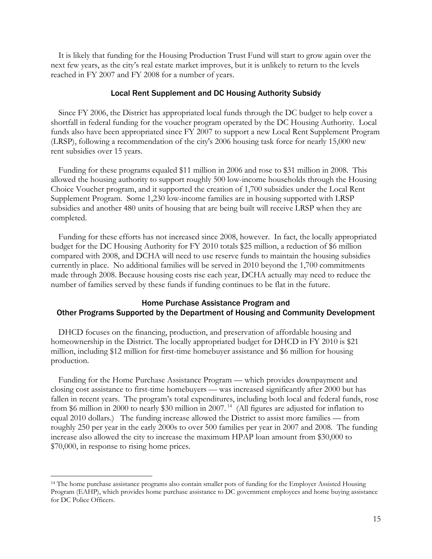It is likely that funding for the Housing Production Trust Fund will start to grow again over the next few years, as the city's real estate market improves, but it is unlikely to return to the levels reached in FY 2007 and FY 2008 for a number of years.

#### Local Rent Supplement and DC Housing Authority Subsidy

Since FY 2006, the District has appropriated local funds through the DC budget to help cover a shortfall in federal funding for the voucher program operated by the DC Housing Authority. Local funds also have been appropriated since FY 2007 to support a new Local Rent Supplement Program (LRSP), following a recommendation of the city's 2006 housing task force for nearly 15,000 new rent subsidies over 15 years.

Funding for these programs equaled \$11 million in 2006 and rose to \$31 million in 2008. This allowed the housing authority to support roughly 500 low-income households through the Housing Choice Voucher program, and it supported the creation of 1,700 subsidies under the Local Rent Supplement Program. Some 1,230 low-income families are in housing supported with LRSP subsidies and another 480 units of housing that are being built will receive LRSP when they are completed.

Funding for these efforts has not increased since 2008, however. In fact, the locally appropriated budget for the DC Housing Authority for FY 2010 totals \$25 million, a reduction of \$6 million compared with 2008, and DCHA will need to use reserve funds to maintain the housing subsidies currently in place. No additional families will be served in 2010 beyond the 1,700 commitments made through 2008. Because housing costs rise each year, DCHA actually may need to reduce the number of families served by these funds if funding continues to be flat in the future.

#### Home Purchase Assistance Program and Other Programs Supported by the Department of Housing and Community Development

DHCD focuses on the financing, production, and preservation of affordable housing and homeownership in the District. The locally appropriated budget for DHCD in FY 2010 is \$21 million, including \$12 million for first-time homebuyer assistance and \$6 million for housing production.

Funding for the Home Purchase Assistance Program — which provides downpayment and closing cost assistance to first-time homebuyers — was increased significantly after 2000 but has fallen in recent years. The program's total expenditures, including both local and federal funds, rose from \$6 million in 2000 to nearly \$30 million in 2007.<sup>14</sup> (All figures are adjusted for inflation to equal 2010 dollars.) The funding increase allowed the District to assist more families — from roughly 250 per year in the early 2000s to over 500 families per year in 2007 and 2008. The funding increase also allowed the city to increase the maximum HPAP loan amount from \$30,000 to \$70,000, in response to rising home prices.

 $\overline{a}$ 

<sup>&</sup>lt;sup>14</sup> The home purchase assistance programs also contain smaller pots of funding for the Employer Assisted Housing Program (EAHP), which provides home purchase assistance to DC government employees and home buying assistance for DC Police Officers.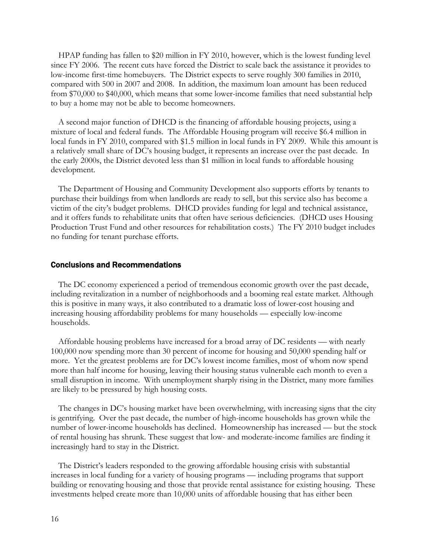HPAP funding has fallen to \$20 million in FY 2010, however, which is the lowest funding level since FY 2006. The recent cuts have forced the District to scale back the assistance it provides to low-income first-time homebuyers. The District expects to serve roughly 300 families in 2010, compared with 500 in 2007 and 2008. In addition, the maximum loan amount has been reduced from \$70,000 to \$40,000, which means that some lower-income families that need substantial help to buy a home may not be able to become homeowners.

A second major function of DHCD is the financing of affordable housing projects, using a mixture of local and federal funds. The Affordable Housing program will receive \$6.4 million in local funds in FY 2010, compared with \$1.5 million in local funds in FY 2009. While this amount is a relatively small share of DC's housing budget, it represents an increase over the past decade. In the early 2000s, the District devoted less than \$1 million in local funds to affordable housing development.

The Department of Housing and Community Development also supports efforts by tenants to purchase their buildings from when landlords are ready to sell, but this service also has become a victim of the city's budget problems. DHCD provides funding for legal and technical assistance, and it offers funds to rehabilitate units that often have serious deficiencies. (DHCD uses Housing Production Trust Fund and other resources for rehabilitation costs.) The FY 2010 budget includes no funding for tenant purchase efforts.

#### Conclusions and Recommendations

The DC economy experienced a period of tremendous economic growth over the past decade, including revitalization in a number of neighborhoods and a booming real estate market. Although this is positive in many ways, it also contributed to a dramatic loss of lower-cost housing and increasing housing affordability problems for many households — especially low-income households.

Affordable housing problems have increased for a broad array of DC residents — with nearly 100,000 now spending more than 30 percent of income for housing and 50,000 spending half or more. Yet the greatest problems are for DC's lowest income families, most of whom now spend more than half income for housing, leaving their housing status vulnerable each month to even a small disruption in income. With unemployment sharply rising in the District, many more families are likely to be pressured by high housing costs.

The changes in DC's housing market have been overwhelming, with increasing signs that the city is gentrifying. Over the past decade, the number of high-income households has grown while the number of lower-income households has declined. Homeownership has increased — but the stock of rental housing has shrunk. These suggest that low- and moderate-income families are finding it increasingly hard to stay in the District.

The District's leaders responded to the growing affordable housing crisis with substantial increases in local funding for a variety of housing programs — including programs that support building or renovating housing and those that provide rental assistance for existing housing. These investments helped create more than 10,000 units of affordable housing that has either been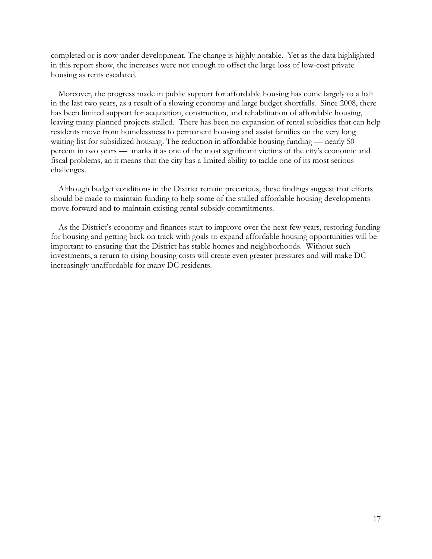completed or is now under development. The change is highly notable. Yet as the data highlighted in this report show, the increases were not enough to offset the large loss of low-cost private housing as rents escalated.

Moreover, the progress made in public support for affordable housing has come largely to a halt in the last two years, as a result of a slowing economy and large budget shortfalls. Since 2008, there has been limited support for acquisition, construction, and rehabilitation of affordable housing, leaving many planned projects stalled. There has been no expansion of rental subsidies that can help residents move from homelessness to permanent housing and assist families on the very long waiting list for subsidized housing. The reduction in affordable housing funding — nearly 50 percent in two years — marks it as one of the most significant victims of the city's economic and fiscal problems, an it means that the city has a limited ability to tackle one of its most serious challenges.

Although budget conditions in the District remain precarious, these findings suggest that efforts should be made to maintain funding to help some of the stalled affordable housing developments move forward and to maintain existing rental subsidy commitments.

As the District's economy and finances start to improve over the next few years, restoring funding for housing and getting back on track with goals to expand affordable housing opportunities will be important to ensuring that the District has stable homes and neighborhoods. Without such investments, a return to rising housing costs will create even greater pressures and will make DC increasingly unaffordable for many DC residents.